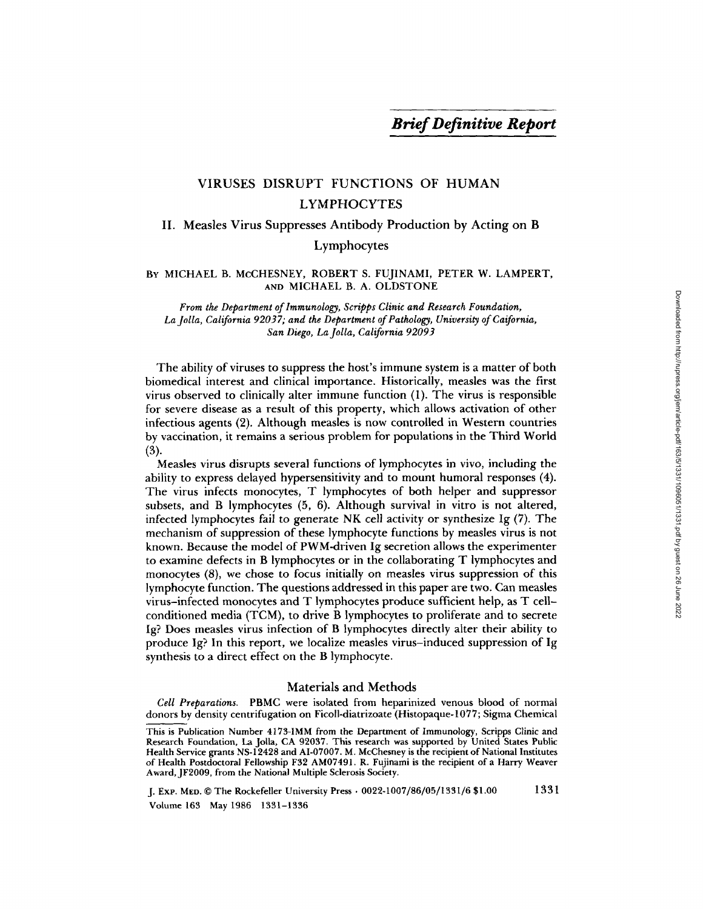# VIRUSES DISRUPT FUNCTIONS OF HUMAN LYMPHOCYTES

## II. Measles Virus Suppresses Antibody Production by Acting on B

Lymphocytes

### BY MICHAEL B. McCHESNEY, ROBERT S. FUJINAMI, PETER W. LAMPERT, AND MICHAEL B. A. OLDSTONE

*From the Department of lmmunology, Scripps Clinic and Research Foundation, La Jolla, California 92037; and the Department of Pathology, University of Caifornia, San Diego, La Jolla, California 92093* 

The ability of viruses to suppress the host's immune system is a matter of both biomedical interest and clinical importance. Historically, measles was the first virus observed to clinically alter immune function (1). The virus is responsible for severe disease as a result of this property, which allows activation of other infectious agents (2). Although measles is now controlled in Western countries by vaccination, it remains a serious problem for populations in the Third World (3).

Measles virus disrupts several functions of lymphocytes in vivo, including tbe ability to express delayed hypersensitivity and to mount humoral responses (4). The virus infects monocytes, T lymphocytes of both helper and suppressor subsets, and B lymphocytes (5, 6). Although survival in vitro is not altered, infected lymphocytes fail to generate NK cell activity or synthesize Ig (7). The mechanism of suppression of these lymphocyte functions by measles virus is not known. Because the model of PWM-driven Ig secretion allows the experimenter to examine defects in B lymphocytes or in the collaborating T iymphocytes and monocytes (8), we chose to focus initially on measles virus suppression of this lymphocyte function. The questions addressed in this paper are two. Can measles virus-infected monocytes and T lympbocytes produce sufficient help, as T cellconditioned media (TCM), to drive B lymphocytes to proliferate and to secrete Ig? Does measles virus infection of B lymphocytes directly alter their ability to produce Ig? In this report, we localize measles virus-induced suppression of Ig synthesis to a direct effect on the B lymphocyte.

#### Materials and Methods

*Cell Preparations.* PBMC were isolated from heparinized venous blood of normal donors by density centrifugation on Ficoll-diatrizoate (Histopaque-1077; Sigma Chemical

J. Exp. MED. © The Rockefeller University Press • *0022-1007/86/05[1331/6* \$1.00 1331 Volume 163 May 1986 1331-1336

This is Publication Number 4173-IMM from the Department of Immunology, Scripps Clinic and Research Foundation, La Jolla, CA 92037. This research was supported by United States Public Health Service grants NS-12428 and AI-07007. M. McChesney is the recipient of National Institutes of Health Postdoctoral Fellowship F32 AM07491. R. Fujinami is the recipient of a Harry Weaver Award, JF2009, from the National Multiple Sclerosis Society.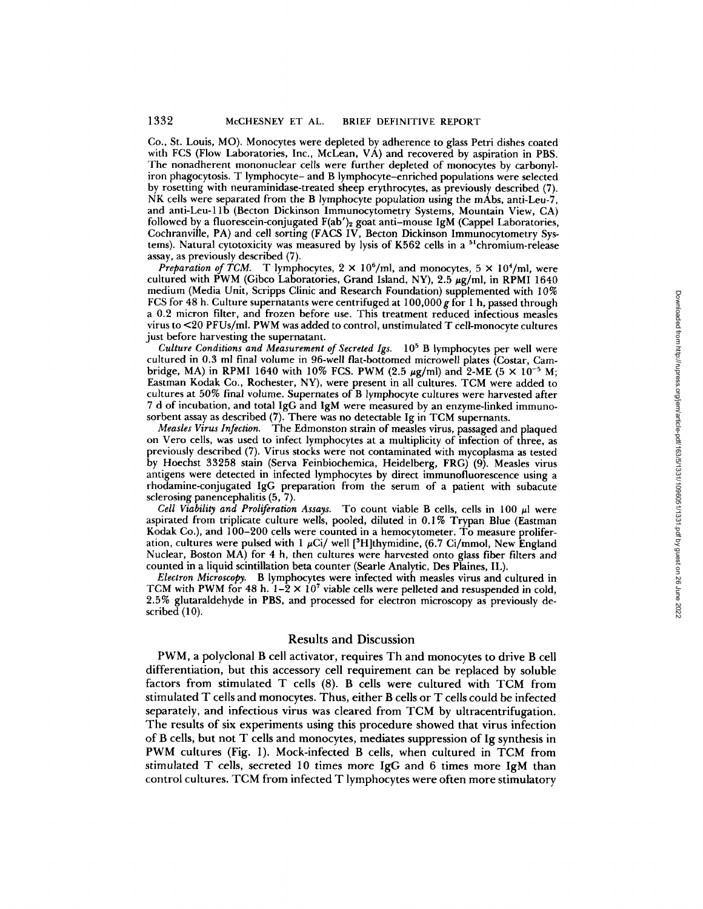Co., St. Louis, MO). Monocytes were depleted by adherence to glass Petri dishes coated with FCS (Flow Laboratories, Inc., McLean, VA) and recovered by aspiration in PBS. The nonadherent mononuclear cells were further depleted of monocytes by carbonyliron phagocytosis. T lymphocyte- and B lymphocyte-enriched populations were selected by rosetting with neuraminidase-treated sheep erythrocytes, as previously described (7). NK cells were separated from the B lymphocyte population using the mAbs, anti-Leu-7, and anti-Leu-1 lb (Becton Dickinson Immunocytometry Systems, Mountain View, CA) followed by a fluorescein-conjugated F(ab')<sub>2</sub> goat anti-mouse IgM (Cappel Laboratories, Cochranville, PA) and cell sorting (FACS IV, Becton Dickinson Immunocytometry Systems). Natural cytotoxicity was measured by lysis of K562 cells in a <sup>51</sup>chromium-release assay, as previously described (7).

*Preparation of TCM.* T lymphocytes,  $2 \times 10^6$ /ml, and monocytes,  $5 \times 10^4$ /ml, were cultured with PWM (Gibco Laboratories, Grand Island, NY),  $2.5 \mu g/ml$ , in RPMI 1640 medium (Media Unit, Scripps Clinic and Research Foundation) supplemented with 10% FCS for 48 h. Culture supernatants were centrifuged at  $100,000$  g for 1 h, passed through a 0.2 micron filter, and frozen before use. This treatment reduced infectious measles virus to <20 PFUs/ml. PWM was added to control, unstimulated T celi-monocyte cultures just before harvesting the supernatant.

*Culture Conditions and Measurement of Secreted Igs.* 105 B lymphocytes per well were cultured in 0.3 ml final volume in 96-well fiat-bottomed microwell plates (Costar, Cambridge, MA) in RPMI 1640 with 10% FCS. PWM (2.5  $\mu$ g/ml) and 2-ME (5  $\times$  10<sup>-5</sup> M; Eastman Kodak Co., Rochester, NY), were present in all cultures. TCM were added to cultures at 50% final volume. Supernates of B lymphocyte cultures were harvested after 7 d of incubation, and total IgG and IgM were measured by an enzyme-linked immunosorbent assay as described (7). There was no detectable Ig in TCM supernants.

*Measles Virus Infection.* The Edmonston strain of measles virus, passaged and plaqued on Vero cells, was used to infect lymphocytes at a multiplicity of infection of three, as previously described (7). Virus stocks were not contaminated with mycoplasma as tested by Hoechst 33258 stain (Serva Feinbiochemica, Heidelberg, FRG) (9). Measles virus antigens were detected in infected lymphocytes by direct immunofiuorescence using a rhodamine-conjugated IgG preparation from the serum of a patient with subacute sclerosing panencephalitis (5, 7).

*Cell Viability and Proliferation Assays.* To count viable B cells, cells in 100  $\mu$ l were aspirated from triplicate culture wells, pooled, diluted in 0.1% Trypan Blue (Eastman Kodak Co.), and 100-200 cells were counted in a hemocytometer. To measure proliferation, cultures were pulsed with 1  $\mu$ Ci/well [<sup>3</sup>H]thymidine, (6.7 Ci/mmol, New England Nuclear, Boston MA) for 4 h, then cultures were harvested onto glass fiber filters and counted in a liquid scintillation beta counter (Searle Analytic, Des Piaines, IL).

*Electron Microscopy.* B lymphocytes were infected with measles virus and cultured in TCM with PWM for 48 h.  $1-\hat{2} \times 10^7$  viable cells were pelleted and resuspended in cold, 2.5% glutaraldehyde in PBS, and processed for electron microscopy as previously described (10).

#### Results and Discussion

PWM, a polyclonal B cell activator, requires Th and monocytes to drive B cell differentiation, but this accessory cell requirement can be replaced by soluble factors from stimulated T cells (8). B cells were cultured with TCM from stimulated T cells and monocytes. Thus, either B cells or T ceils could be infected separately, and infectious virus was cleared from TCM by ultracentrifugation. The results of six experiments using this procedure showed that virus infection of B cells, but not T cells and monocytes, mediates suppression of Ig synthesis in PWM cultures (Fig. 1). Mock-infected B cells, when cultured in TCM from stimulated T cells, secreted 10 times more IgG and 6 times more IgM than control cultures. TCM from infected T lymphocytes were often more stimulatory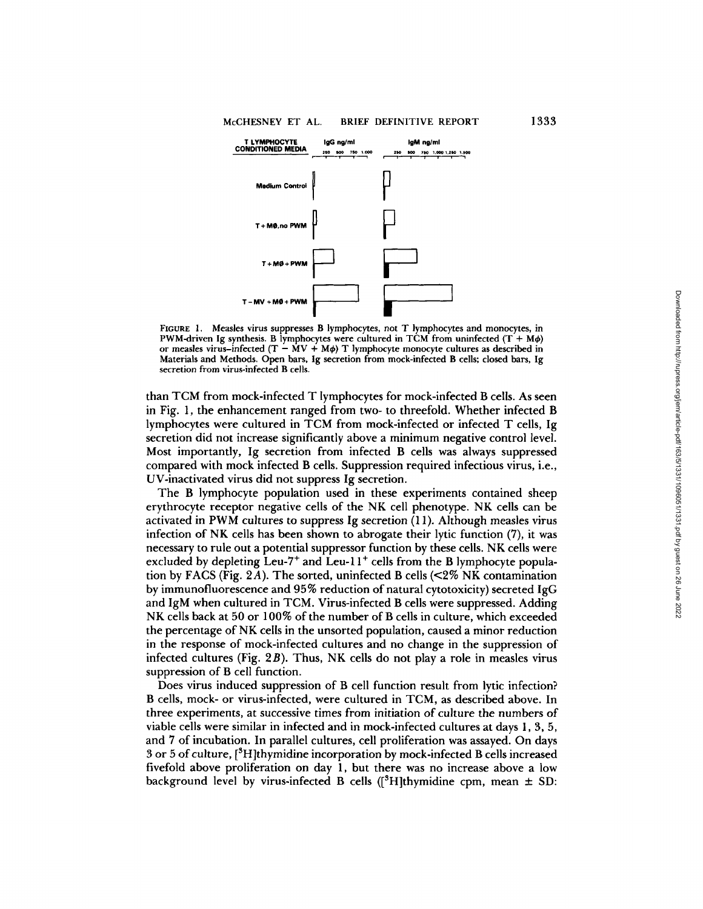

FIGURE 1. Measles virus suppresses B lymphocytes, not T lymphocytes and monocytes, in PWM-driven Ig synthesis. B lymphocytes were cultured in TCM from uninfected  $(T + M\phi)$ or measles virus-infected ( $T - \dot{M}V + M\phi$ ) T lymphocyte monocyte cultures as described in Materials and Methods. Open bars, Ig secretion from mock-infected B cells; closed bars, Ig secretion from virus-infected B cells.

than TCM from mock-infected T lymphocytes for mock-infected B cells. As seen in Fig. 1, the enhancement ranged from two- to threefold. Whether infected B lymphocytes were cultured in TCM from mock-infected or infected T cells, Ig secretion did not increase significantly above a minimum negative control level. Most importantly, Ig secretion from infected B cells was always suppressed compared with mock infected B cells. Suppression required infectious virus, i.e., UV-inactivated virus did not suppress Ig secretion.

The B lymphocyte population used in these experiments contained sheep erythrocyte receptor negative cells of the NK cell phenotype. NK cells can be activated in PWM cultures to suppress Ig secretion (11). Although measles virus infection of NK cells has been shown to abrogate their lytic function (7), it was necessary to rule out a potential suppressor function by these cells. NK cells were excluded by depleting Leu-7<sup>+</sup> and Leu-11<sup>+</sup> cells from the B lymphocyte population by FACS (Fig. 2A). The sorted, uninfected B cells ( $\leq 2\%$  NK contamination by immunofluorescence and 95% reduction of natural cytotoxicity) secreted IgG and IgM when cultured in TCM. Virus-infected B cells were suppressed. Adding NK cells back at 50 or 100% of the number of B cells in culture, which exceeded the percentage of NK cells in the unsorted population, caused a minor reduction in the response of mock-infected cultures and no change in the suppression of infected cultures (Fig. 2B). Thus, NK cells do not play a role in measles virus suppression of B cell function.

Does virus induced suppression of B cell function result from lytic infection? B cells, mock- or virus-infected, were cultured in TCM, as described above. In three experiments, at successive times from initiation of culture the numbers of viable cells were similar in infected and in mock-infected cultures at days 1, 3, 5, and 7 of incubation. In parallel cultures, cell proliferation was assayed. On days 3 or 5 of culture, [3H]thymidine incorporation by mock-infected B cells increased fivefold above proliferation on day 1, but there was no increase above a low background level by virus-infected B cells ( $\beta$ H]thymidine cpm, mean  $\pm$  SD: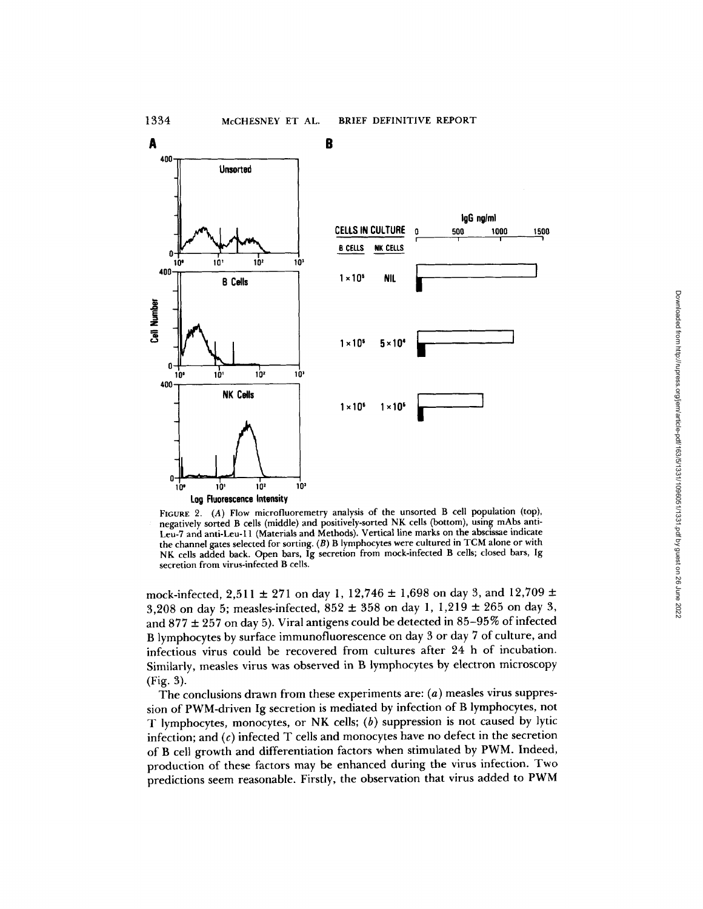

FIGURE 2. (A) Flow microfluoremetry analysis of the unsorted B cell population (top), negatively sorted B cells (middle) and positively-sorted NK cells (bottom), using mAbs anti-Leu-7 and anti-Leu-11 (Materials and Methods). Vertical line marks on the abscissae indicate the channel gates selected for sorting. (B) B lymphocytes were cultured in TCM alone or with NK cells added back. Open bars, Ig secretion from mock-infected B cells; closed bars, Ig secretion from virus-infected B cells.

mock-infected, 2,511  $\pm$  271 on day 1, 12,746  $\pm$  1,698 on day 3, and 12,709  $\pm$ 3,208 on day 5; measles-infected,  $852 \pm 358$  on day 1, 1,219  $\pm$  265 on day 3, and  $877 \pm 257$  on day 5). Viral antigens could be detected in 85-95% of infected B lymphocytes by surface immunofluorescence on day 3 or day 7 of culture, and infectious virus could be recovered from cultures after 24 h of incubation. Similarly, measles virus was observed in B lymphocytes by electron microscopy (Fig. 3).

The conclusions drawn from these experiments are: (a) measles virus suppression of PWM-driven Ig secretion is mediated by infection of B lymphocytes, not T lymphocytes, monocytes, or NK cells; (b) suppression is not caused by lytic infection; and  $(c)$  infected  $T$  cells and monocytes have no defect in the secretion of B cell growth and differentiation factors when stimulated by PWM. Indeed, production of these factors may be enhanced during the virus infection. Two predictions seem reasonable. Firstly, the observation that virus added to PWM Downloaded from http://rupress.org/jem/article-pdf/163/5/1331/1096051/1331.pdf by guest on 26 June 2022 Downloaded from http://rupress.org/jem/article-pdf/163/5/1331/1096051/1331.pdf by guest on 26 June 2022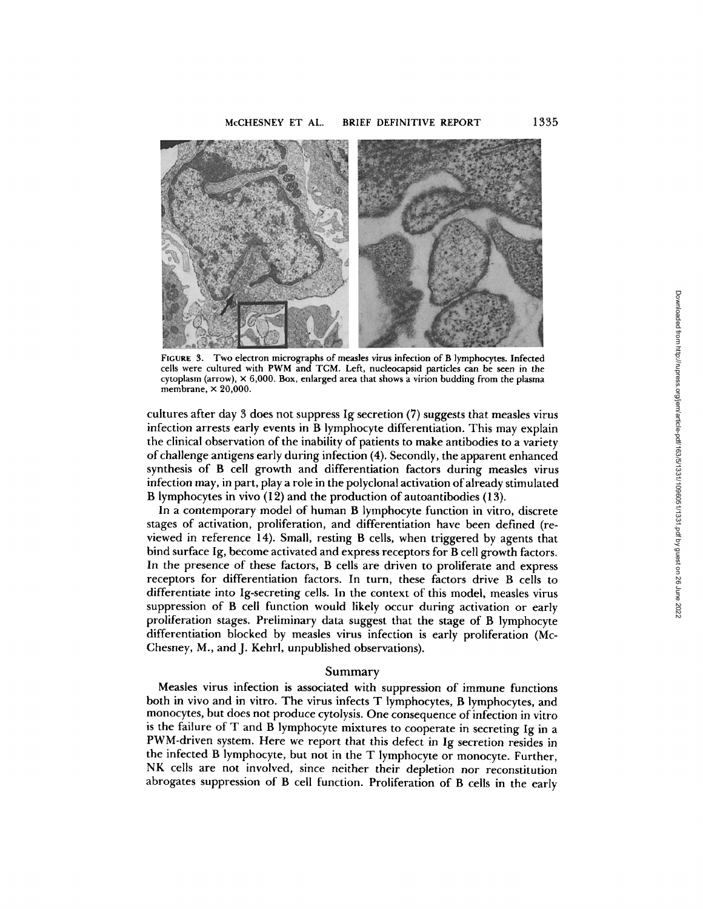

FIGURE 3. Two electron micrographs of measles virus infection of B lymphocytes. Infected cells were cultured with PWM and TCM. Left, nucleocapsid particles can be seen in the cytoplasm (arrow),  $\times$  6,000. Box, enlarged area that shows a virion budding from the plasma membrane,  $\times$  20,000.

cultures after day 3 does not suppress Ig secretion (7) suggests that measles virus infection arrests early events in B lymphocyte differentiation. This may explain the clinical observation of the inability of patients to make antibodies to a variety of challenge antigens early during infection (4). Secondly, the apparent enhanced synthesis of B cell growth and differentiation factors during measles virus infection may, in part, play a role in the polyclonal activation of already stimulated B lymphocytes in vivo (12) and the production of autoantibodies (13).

In a contemporary model of human B lymphocyte function in vitro, discrete stages of activation, proliferation, and differentiation have been defined (reviewed in reference 14). Small, resting B cells, when triggered by agents that bind surface Ig, become activated and express receptors for B cell growth factors. In the presence of these factors, B cells are driven to proliferate and express receptors for differentiation factors. In turn, these factors drive B cells to differentiate into Ig-secreting cells. In the context of this model, measles virus suppression of B cell function would likely occur during activation or early proliferation stages. Preliminary data suggest that the stage of B lymphocyte differentiation blocked by measles virus infection is early proliferation (Mc-Chesney, M., and J. Kehrl, unpublished observations).

#### Summary

Measles virus infection is associated with suppression of immune functions both in vivo and in vitro. The virus infects T lymphocytes, B lymphocytes, and monocytes, but does not produce cytolysis. One *consequence* of infection in vitro is the failure of T and B lymphocyte mixtures to cooperate in secreting Ig in a PWM-driven system. Here we report that this defect in Ig secretion resides in the infected B lymphocyte, but not in the T lymphocyte or monocyte. Further, NK cells are not involved, since *neither* their depletion *nor reconstitution*  abrogates suppression of B cell function. Proliferation of B cells in the early